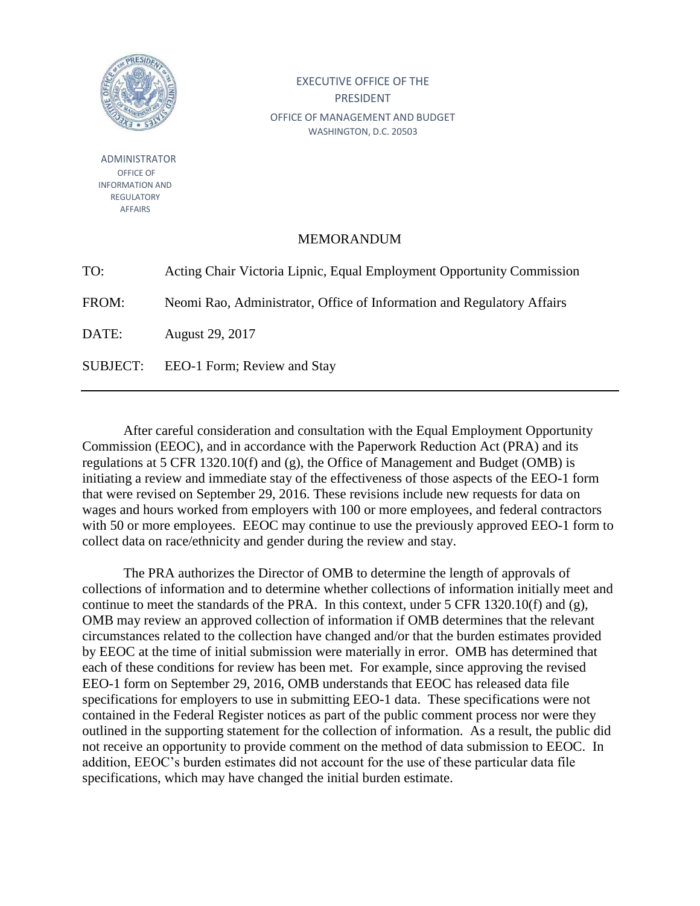

ADMINISTRATOR OFFICE OF INFORMATION AND REGULATORY AFFAIRS

## EXECUTIVE OFFICE OF THE PRESIDENT OFFICE OF MANAGEMENT AND BUDGET WASHINGTON, D.C. 20503

## **MEMORANDUM**

TO: Acting Chair Victoria Lipnic, Equal Employment Opportunity Commission

FROM: Neomi Rao, Administrator, Office of Information and Regulatory Affairs

DATE: August 29, 2017

SUBJECT: EEO-1 Form; Review and Stay

After careful consideration and consultation with the Equal Employment Opportunity Commission (EEOC), and in accordance with the Paperwork Reduction Act (PRA) and its regulations at 5 CFR 1320.10(f) and (g), the Office of Management and Budget (OMB) is initiating a review and immediate stay of the effectiveness of those aspects of the EEO-1 form that were revised on September 29, 2016. These revisions include new requests for data on wages and hours worked from employers with 100 or more employees, and federal contractors with 50 or more employees. EEOC may continue to use the previously approved EEO-1 form to collect data on race/ethnicity and gender during the review and stay.

The PRA authorizes the Director of OMB to determine the length of approvals of collections of information and to determine whether collections of information initially meet and continue to meet the standards of the PRA. In this context, under 5 CFR 1320.10(f) and (g), OMB may review an approved collection of information if OMB determines that the relevant circumstances related to the collection have changed and/or that the burden estimates provided by EEOC at the time of initial submission were materially in error. OMB has determined that each of these conditions for review has been met. For example, since approving the revised EEO-1 form on September 29, 2016, OMB understands that EEOC has released data file specifications for employers to use in submitting EEO-1 data. These specifications were not contained in the Federal Register notices as part of the public comment process nor were they outlined in the supporting statement for the collection of information. As a result, the public did not receive an opportunity to provide comment on the method of data submission to EEOC. In addition, EEOC's burden estimates did not account for the use of these particular data file specifications, which may have changed the initial burden estimate.